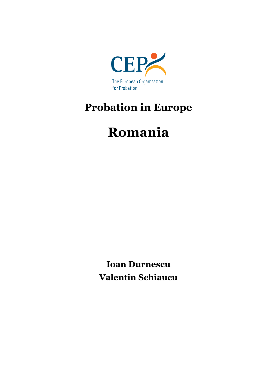

## **Probation in Europe**

# **Romania**

**Ioan Durnescu Valentin Schiaucu**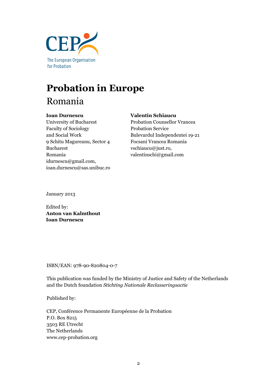

## **Probation in Europe** Romania

#### **Ioan Durnescu**

University of Bucharest Faculty of Sociology and Social Work 9 Schitu Magureanu, Sector 4 Bucharest Romania idurnescu@gmail.com, ioan.durnescu@sas.unibuc.ro

#### **Valentin Schiaucu**

Probation Counsellor Vrancea Probation Service Bulevardul Independentei 19-21 Focsani Vrancea Romania vschiaucu@just.ro, valentinschi@gmail.com

January 2013

Edited by: **Anton van Kalmthout Ioan Durnescu**

ISBN/EAN: 978-90-820804-0-7

This publication was funded by the Ministry of Justice and Safety of the Netherlands and the Dutch foundation *Stichting Nationale Reclasseringsactie*

Published by:

CEP, Conférence Permanente Européenne de la Probation P.O. Box 8215 3503 RE Utrecht The Netherlands www.cep-probation.org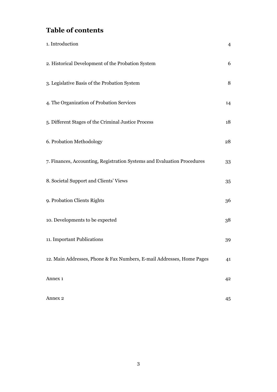## **Table of contents**

| 1. Introduction                                                         | $\overline{4}$ |
|-------------------------------------------------------------------------|----------------|
| 2. Historical Development of the Probation System                       | 6              |
| 3. Legislative Basis of the Probation System                            | 8              |
| 4. The Organization of Probation Services                               | 14             |
| 5. Different Stages of the Criminal Justice Process                     | 18             |
| 6. Probation Methodology                                                | 28             |
| 7. Finances, Accounting, Registration Systems and Evaluation Procedures | 33             |
| 8. Societal Support and Clients' Views                                  | 35             |
| 9. Probation Clients Rights                                             | 36             |
| 10. Developments to be expected                                         | 38             |
| 11. Important Publications                                              | 39             |
| 12. Main Addresses, Phone & Fax Numbers, E-mail Addresses, Home Pages   | 41             |
| Annex 1                                                                 | 4 <sup>2</sup> |
| Annex 2                                                                 | 45             |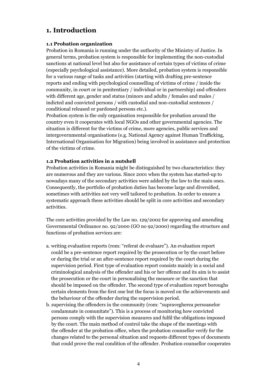## **1. Introduction**

#### **1.1 Probation organization**

Probation in Romania is running under the authority of the Ministry of Justice. In general terms, probation system is responsible for implementing the non-custodial sanctions at national level but also for assistance of certain types of victims of crime (especially psychological assistance). More detailed, probation system is responsible for a various range of tasks and activities (starting with drafting pre-sentence reports and ending with psychological counselling of victims of crime / inside the community, in court or in penitentiary / individual or in partnership) and offenders with different age, gender and status (minors and adults / females and males / indicted and convicted persons / with custodial and non-custodial sentences / conditional released or pardoned persons etc.).

Probation system is the only organisation responsible for probation around the country even it cooperates with local NGOs and other governmental agencies. The situation is different for the victims of crime, more agencies, public services and intergovernmental organisations (e.g. National Agency against Human Trafficking, International Organisation for Migration) being involved in assistance and protection of the victims of crime.

#### **1.2 Probation activities in a nutshell**

Probation activities in Romania might be distinguished by two characteristics: they are numerous and they are various. Since 2001 when the system has started-up to nowadays many of the secondary activities were added by the law to the main ones. Consequently, the portfolio of probation duties has become large and diversified, sometimes with activities not very well tailored to probation. In order to ensure a systematic approach these activities should be split in core activities and secondary activities.

The core activities provided by the Law no. 129/2002 for approving and amending Governmental Ordinance no. 92/2000 (GO no 92/2000) regarding the structure and functions of probation services are:

- a. writing evaluation reports (rom: "referat de evaluare"). An evaluation report could be a pre-sentence report required by the prosecution or by the court before or during the trial or an after-sentence report required by the court during the supervision period. First type of evaluation report consists mainly in a social and criminological analysis of the offender and his or her offence and its aim is to assist the prosecution or the court in personalising the measure or the sanction that should be imposed on the offender. The second type of evaluation report boroughs certain elements from the first one but the focus is moved on the achievements and the behaviour of the offender during the supervision period.
- b. supervising the offenders in the community (rom: "supravegherea persoanelor condamnate in comunitate"). This is a process of monitoring how convicted persons comply with the supervision measures and fulfil the obligations imposed by the court. The main method of control take the shape of the meetings with the offender at the probation office, when the probation counsellor verify for the changes related to the personal situation and requests different types of documents that could prove the real condition of the offender. Probation counsellor cooperates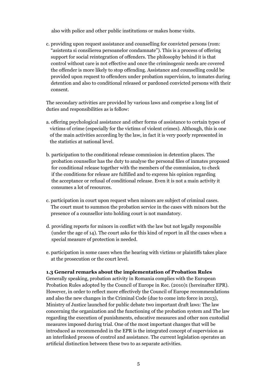also with police and other public institutions or makes home visits.

c. providing upon request assistance and counselling for convicted persons (rom: "asistenta si consilierea persoanelor condamnate"). This is a process of offering support for social reintegration of offenders. The philosophy behind it is that control without care is not effective and once the criminogenic needs are covered the offender is more likely to stop offending. Assistance and counselling could be provided upon request to offenders under probation supervision, to inmates during detention and also to conditional released or pardoned convicted persons with their consent.

The secondary activities are provided by various laws and comprise a long list of duties and responsibilities as is follow:

- a. offering psychological assistance and other forms of assistance to certain types of victims of crime (especially for the victims of violent crimes). Although, this is one of the main activities according by the law, in fact it is very poorly represented in the statistics at national level.
- b. participation to the conditional release commission in detention places. The probation counsellor has the duty to analyse the personal files of inmates proposed for conditional release together with the members of the commission, to check if the conditions for release are fulfilled and to express his opinion regarding the acceptance or refusal of conditional release. Even it is not a main activity it consumes a lot of resources.
- c. participation in court upon request when minors are subject of criminal cases. The court must to summon the probation service in the cases with minors but the presence of a counsellor into holding court is not mandatory.
- d. providing reports for minors in conflict with the law but not legally responsible (under the age of 14). The court asks for this kind of report in all the cases when a special measure of protection is needed.
- e. participation in some cases when the hearing with victims or plaintiffs takes place at the prosecution or the court level.

#### **1.3 General remarks about the implementation of Probation Rules**

Generally speaking, probation activity in Romania complies with the European Probation Rules adopted by the Council of Europe in Rec. (2010)1 (hereinafter EPR). However, in order to reflect more effectively the Council of Europe recommendations and also the new changes in the Criminal Code (due to come into force in 2013), Ministry of Justice launched for public debate two important draft laws: The law concerning the organization and the functioning of the probation system and The law regarding the execution of punishments, educative measures and other non custodial measures imposed during trial. One of the most important changes that will be introduced as recommended in the EPR is the integrated concept of supervision as an interlinked process of control and assistance. The current legislation operates an artificial distinction between these two to as separate activities.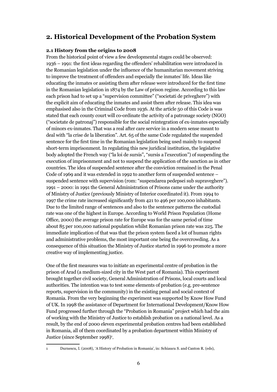## **2. Historical Development of the Probation System**

#### **2.1 History from the origins to 2008**

From the historical point of view a few developmental stages could be observed: 1936 – 1991: the first ideas regarding the offenders' rehabilitation were introduced in the Romanian legislation under the influence of the humanitarian movement striving to improve the treatment of offenders and especially the inmates' life. Ideas like educating the inmates or assisting them after release were introduced for the first time in the Romanian legislation in 1874 by the Law of prison regime. According to this law each prison had to set up a "supervision committee" ("societati de priveghere") with the explicit aim of educating the inmates and assist them after release. This idea was emphasised also in the Criminal Code from 1936. At the article 50 of this Code is was stated that each county court will co-ordinate the activity of a patronage society (NGO) ("societate de patronaj") responsible for the social reintegration of ex-inmates especially of minors ex-inmates. That was a real after care service in a modern sense meant to deal with "la crise de la liberation". Art. 65 of the same Code regulated the suspended sentence for the first time in the Romanian legislation being used mainly to suspend short-term imprisonment. In regulating this new juridical institution, the legislative body adopted the French way ("la loi de sursis", "sursis a l'execution") of suspending the execution of imprisonment and not to suspend the application of the sanction as in other countries. The idea of suspended sentence after the conviction remained in the Penal Code of 1969 and it was extended in 1992 to another form of suspended sentence – suspended sentence with supervision (rom: "suspendarea pedepsei sub supraveghere"). 1991 – 2000: in 1991 the General Administration of Prisons came under the authority of Ministry of Justice (previously Ministry of Interior coordinated it). From 1994 to 1997 the crime rate increased significantly from 421 to 496 per 100,000 inhabitants. Due to the limited range of sentences and also to the sentence patterns the custodial rate was one of the highest in Europe. According to World Prison Population (Home Office, 2000) the average prison rate for Europe was for the same period of time about 85 per 100,000 national population whilst Romanian prison rate was 225. The immediate implication of that was that the prison system faced a lot of human rights and administrative problems, the most important one being the overcrowding. As a consequence of this situation the Ministry of Justice started in 1996 to promote a more creative way of implementing justice.

One of the first measures was to initiate an experimental centre of probation in the prison of Arad (a medium-sized city in the West part of Romania). This experiment brought together civil society, General Administration of Prisons, local courts and local authorities. The intention was to test some elements of probation (e.g. pre-sentence reports, supervision in the community) in the existing penal and social context of Romania. From the very beginning the experiment was supported by Know How Fund of UK. In 1998 the assistance of Department for International Development/Know How Fund progressed further through the "Probation in Romania" project which had the aim of working with the Ministry of Justice to establish probation on a national level. As a result, by the end of 2000 eleven experimental probation centres had been established in Romania, all of them coordinated by a probation department within Ministry of Justice (since September 1998)<sup>1</sup>.

<sup>1</sup> Durnescu, I. (2008), 'A History of Probation in Romania', in: Schiaucu S. and Canton R. (eds),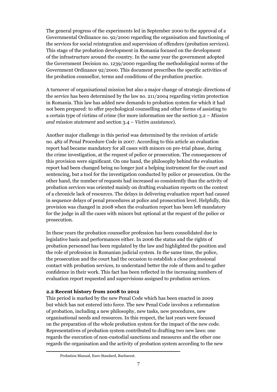The general progress of the experiments led in September 2000 to the approval of a Governmental Ordinance no. 92/2000 regarding the organisation and functioning of the services for social reintegration and supervision of offenders (probation services). This stage of the probation development in Romania focused on the development of the infrastructure around the country. In the same year the government adopted the Government Decision no. 1239/2000 regarding the methodological norms of the Government Ordinance 92/2000. This document prescribes the specific activities of the probation counsellor, terms and conditions of the probation practice.

A turnover of organisational mission but also a major change of strategic directions of the service has been determined by the law no. 211/2004 regarding victim protection in Romania. This law has added new demands to probation system for which it had not been prepared: to offer psychological counselling and other forms of assisting to a certain type of victims of crime (for more information see the section 3.2 – *Mission and mission statement* and section 3.4 – *Victim assistance*).

Another major challenge in this period was determined by the revision of article no. 482 of Penal Procedure Code in 2007. According to this article an evaluation report had became mandatory for all cases with minors on pre-trial phase, during the crime investigation, at the request of police or prosecution. The consequences of this provision were significant. On one hand, the philosophy behind the evaluation report had been changed being no longer just a helping instrument for the court and sentencing, but a tool for the investigation conducted by police or prosecution. On the other hand, the number of requests had increased so consistently than the activity of probation services was oriented mainly on drafting evaluation reports on the context of a chronicle lack of resources. The delays in delivering evaluation report had caused in sequence delays of penal procedures at police and prosecution level. Helpfully, this provision was changed in 2008 when the evaluation report has been left mandatory for the judge in all the cases with minors but optional at the request of the police or prosecution.

In these years the probation counsellor profession has been consolidated due to legislative basis and performances either. In 2006 the status and the rights of probation personnel has been regulated by the law and highlighted the position and the role of profession in Romanian judicial system. In the same time, the police, the prosecution and the court had the occasion to establish a close professional contact with probation services, to understand better the role of them and to gather confidence in their work. This fact has been reflected in the increasing numbers of evaluation report requested and supervisions assigned to probation services.

#### **2.2 Recent history from 2008 to 2012**

This period is marked by the new Penal Code which has been enacted in 2009 but which has not entered into force. The new Penal Code involves a reformation of probation, including a new philosophy, new tasks, new procedures, new organisational needs and resources. In this respect, the last years were focused on the preparation of the whole probation system for the impact of the new code. Representatives of probation system contributed to drafting two new laws: one regards the execution of non-custodial sanctions and measures and the other one regards the organisation and the activity of probation system according to the new

Probation Manual, Euro Standard, Bucharest.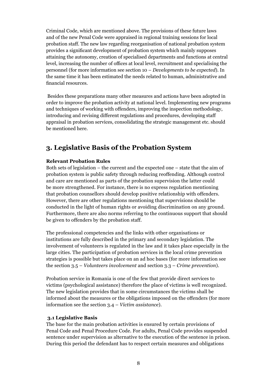Criminal Code, which are mentioned above. The provisions of these future laws and of the new Penal Code were appraised in regional training sessions for local probation staff. The new law regarding reorganisation of national probation system provides a significant development of probation system which mainly supposes attaining the autonomy, creation of specialised departments and functions at central level, increasing the number of offices at local level, recruitment and specialising the personnel (for more information see section 10 – *Developments to be expected*). In the same time it has been estimated the needs related to human, administrative and financial resources.

 Besides these preparations many other measures and actions have been adopted in order to improve the probation activity at national level. Implementing new programs and techniques of working with offenders, improving the inspection methodology, introducing and revising different regulations and procedures, developing staff appraisal in probation services, consolidating the strategic management etc. should be mentioned here.

## **3. Legislative Basis of the Probation System**

#### **Relevant Probation Rules**

Both sets of legislation – the current and the expected one – state that the aim of probation system is public safety through reducing reoffending. Although control and care are mentioned as parts of the probation supervision the latter could be more strengthened. For instance, there is no express regulation mentioning that probation counsellors should develop positive relationship with offenders. However, there are other regulations mentioning that supervisions should be conducted in the light of human rights or avoiding discrimination on any ground. Furthermore, there are also norms referring to the continuous support that should be given to offenders by the probation staff.

The professional competencies and the links with other organisations or institutions are fully described in the primary and secondary legislation. The involvement of volunteers is regulated in the law and it takes place especially in the large cities. The participation of probation services in the local crime prevention strategies is possible but takes place on an ad hoc bases (for more information see the section 3.5 – *Volunteers involvement* and section 3.3 – *Crime prevention*).

Probation service in Romania is one of the few that provide direct services to victims (psychological assistance) therefore the place of victims is well recognized. The new legislation provides that in some circumstances the victims shall be informed about the measures or the obligations imposed on the offenders (for more information see the section 3.4 – *Victim assistance*).

#### **3.1 Legislative Basis**

The base for the main probation activities is ensured by certain provisions of Penal Code and Penal Procedure Code. For adults, Penal Code provides suspended sentence under supervision as alternative to the execution of the sentence in prison. During this period the defendant has to respect certain measures and obligations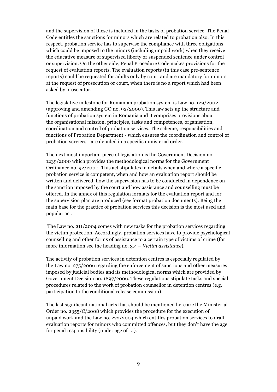and the supervision of these is included in the tasks of probation service. The Penal Code entitles the sanctions for minors which are related to probation also. In this respect, probation service has to supervise the compliance with three obligations which could be imposed to the minors (including unpaid work) when they receive the educative measure of supervised liberty or suspended sentence under control or supervision. On the other side, Penal Procedure Code makes provisions for the request of evaluation reports. The evaluation reports (in this case pre-sentence reports) could be requested for adults only by court and are mandatory for minors at the request of prosecution or court, when there is no a report which had been asked by prosecutor.

The legislative milestone for Romanian probation system is Law no. 129/2002 (approving and amending GO no. 92/2000). This law sets up the structure and functions of probation system in Romania and it comprises provisions about the organisational mission, principles, tasks and competences, organisation, coordination and control of probation services. The scheme, responsibilities and functions of Probation Department - which ensures the coordination and control of probation services - are detailed in a specific ministerial order.

The next most important piece of legislation is the Government Decision no. 1239/2000 which provides the methodological norms for the Government Ordinance no. 92/2000. This act stipulates in details when and where a specific probation service is competent, when and how an evaluation report should be written and delivered, how the supervision has to be conducted in dependence on the sanction imposed by the court and how assistance and counselling must be offered. In the annex of this regulation formats for the evaluation report and for the supervision plan are produced (see format probation documents). Being the main base for the practice of probation services this decision is the most used and popular act.

 The Law no. 211/2004 comes with new tasks for the probation services regarding the victim protection. Accordingly, probation services have to provide psychological counselling and other forms of assistance to a certain type of victims of crime (for more information see the heading no. 3.4 – *Victim assistance*).

The activity of probation services in detention centres is especially regulated by the Law no. 275/2006 regarding the enforcement of sanctions and other measures imposed by judicial bodies and its methodological norms which are provided by Government Decision no. 1897/2006. These regulations stipulate tasks and special procedures related to the work of probation counsellor in detention centres (e.g. participation to the conditional release commission).

The last significant national acts that should be mentioned here are the Ministerial Order no. 2355/C/2008 which provides the procedure for the execution of unpaid work and the Law no. 272/2004 which entitles probation services to draft evaluation reports for minors who committed offences, but they don't have the age for penal responsibility (under age of 14).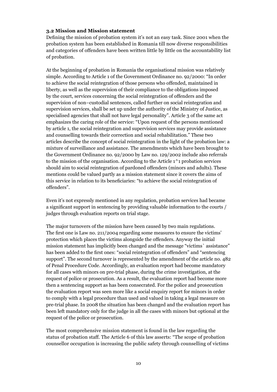#### **3.2 Mission and Mission statement**

Defining the mission of probation system it's not an easy task. Since 2001 when the probation system has been established in Romania till now diverse responsibilities and categories of offenders have been written little by little on the accountability list of probation.

At the beginning of probation in Romania the organisational mission was relatively simple. According to Article 1 of the Government Ordinance no. 92/2000: "In order to achieve the social reintegration of those persons who offended, maintained in liberty, as well as the supervision of their compliance to the obligations imposed by the court, services concerning the social reintegration of offenders and the supervision of non–custodial sentences, called further on social reintegration and supervision services, shall be set up under the authority of the Ministry of Justice, as specialised agencies that shall not have legal personality". Article 3 of the same act emphasizes the caring role of the service: "Upon request of the persons mentioned by article 1, the social reintegration and supervision services may provide assistance and counselling towards their correction and social rehabilitation." These two articles describe the concept of social reintegration in the light of the probation law: a mixture of surveillance and assistance. The amendments which have been brought to the Government Ordinance no. 92/2000 by Law no. 129/2002 include also referrals to the mission of the organisation. According to the Article 1^1 probation services should aim to social reintegration of pardoned offenders (minors and adults). These mentions could be valued partly as a mission statement since it covers the aims of this service in relation to its beneficiaries: "to achieve the social reintegration of offenders".

Even it's not expressly mentioned in any regulation, probation services had became a significant support in sentencing by providing valuable information to the courts / judges through evaluation reports on trial stage.

The major turnovers of the mission have been caused by two main regulations. The first one is Law no. 211/2004 regarding some measures to ensure the victims' protection which places the victims alongside the offenders. Anyway the initial mission statement has implicitly been changed and the message "victims` assistance" has been added to the first ones: "social reintegration of offenders" and "sentencing support". The second turnover is represented by the amendment of the article no. 482 of Penal Procedure Code. Accordingly, an evaluation report had become mandatory for all cases with minors on pre-trial phase, during the crime investigation, at the request of police or prosecution. As a result, the evaluation report had become more then a sentencing support as has been consecrated. For the police and prosecution the evaluation report was seen more like a social enquiry report for minors in order to comply with a legal procedure than used and valued in taking a legal measure on pre-trial phase. In 2008 the situation has been changed and the evaluation report has been left mandatory only for the judge in all the cases with minors but optional at the request of the police or prosecution.

The most comprehensive mission statement is found in the law regarding the status of probation staff. The Article 6 of this law asserts: "The scope of probation counsellor occupation is increasing the public safety through counselling of victims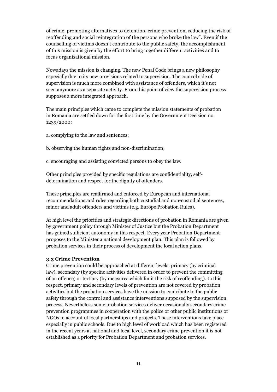of crime, promoting alternatives to detention, crime prevention, reducing the risk of reoffending and social reintegration of the persons who broke the law". Even if the counselling of victims doesn't contribute to the public safety, the accomplishment of this mission is given by the effort to bring together different activities and to focus organisational mission.

Nowadays the mission is changing. The new Penal Code brings a new philosophy especially due to its new provisions related to supervision. The control side of supervision is much more combined with assistance of offenders, which it's not seen anymore as a separate activity. From this point of view the supervision process supposes a more integrated approach.

The main principles which came to complete the mission statements of probation in Romania are settled down for the first time by the Government Decision no. 1239/2000:

- a. complying to the law and sentences;
- b. observing the human rights and non-discrimination;

c. encouraging and assisting convicted persons to obey the law.

Other principles provided by specific regulations are confidentiality, selfdetermination and respect for the dignity of offenders.

These principles are reaffirmed and enforced by European and international recommendations and rules regarding both custodial and non-custodial sentences, minor and adult offenders and victims (e.g. Europe Probation Rules).

At high level the priorities and strategic directions of probation in Romania are given by government policy through Minister of Justice but the Probation Department has gained sufficient autonomy in this respect. Every year Probation Department proposes to the Minister a national development plan. This plan is followed by probation services in their process of development the local action plans.

#### **3.3 Crime Prevention**

Crime prevention could be approached at different levels: primary (by criminal law), secondary (by specific activities delivered in order to prevent the committing of an offence) or tertiary (by measures which limit the risk of reoffending). In this respect, primary and secondary levels of prevention are not covered by probation activities but the probation services have the mission to contribute to the public safety through the control and assistance interventions supposed by the supervision process. Nevertheless some probation services deliver occasionally secondary crime prevention programmes in cooperation with the police or other public institutions or NGOs in account of local partnerships and projects. These interventions take place especially in public schools. Due to high level of workload which has been registered in the recent years at national and local level, secondary crime prevention it is not established as a priority for Probation Department and probation services.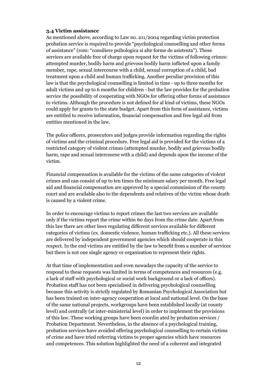#### **3.4 Victim assistance**

As mentioned above, according to Law no. 211/2004 regarding victim protection probation service is required to provide "psychological counselling and other forms of assistance" (rom: "consiliere psihologica si alte forme de asistenta"). These services are available free of charge upon request for the victims of following crimes: attempted murder, bodily harm and grievous bodily harm inflicted upon a family member, rape, sexual intercourse with a child, sexual corruption of a child, bad treatment upon a child and human trafficking. Another peculiar provision of this law is that the psychological counselling is limited in time - up to three months for adult victims and up to 6 months for children - but the law provides for the probation service the possibility of cooperating with NGOs for offering other forms of assistance to victims. Although the procedure is not defined for al kind of victims, these NGOs could apply for grants to the state budget. Apart from this form of assistance, victims are entitled to receive information, financial compensation and free legal aid from entities mentioned in the law.

The police officers, prosecutors and judges provide information regarding the rights of victims and the criminal procedure. Free legal aid is provided for the victims of a restricted category of violent crimes (attempted murder, bodily and grievous bodily harm, rape and sexual intercourse with a child) and depends upon the income of the victim.

Financial compensation is available for the victims of the same categories of violent crimes and can consist of up to ten times the minimum salary per month. Free legal aid and financial compensation are approved by a special commission of the county court and are available also to the dependents and relatives of the victim whose death is caused by a violent crime.

In order to encourage victims to report crimes the last two services are available only if the victims report the crime within 60 days from the crime date. Apart from this law there are other laws regulating different services available for different categories of victims (ex. domestic violence, human trafficking etc.). All these services are delivered by independent government agencies which should cooperate in this respect. In the end victims are entitled by the law to benefit from a number of services but there is not one single agency or organisation to represent their rights.

At that time of implementation and even nowadays the capacity of the service to respond to these requests was limited in terms of competences and resources (e.g. a lack of staff with psychological or social work background or a lack of offices). Probation staff has not been specialised in delivering psychological counselling because this activity is strictly regulated by Romanian Psychological Association but has been trained on inter-agency cooperation at local and national level. On the base of the same national projects, workgroups have been established locally (at county level) and centrally (at inter-ministerial level) in order to implement the provisions of this law. These working groups have been coordin ated by probation services / Probation Department. Nevertheless, in the absence of a psychological training, probation services have avoided offering psychological counselling to certain victims of crime and have tried referring victims to proper agencies which have resources and competences. This solution highlighted the need of a coherent and integrated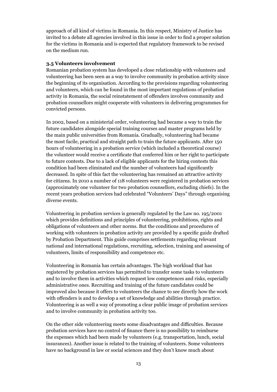approach of all kind of victims in Romania. In this respect, Ministry of Justice has invited to a debate all agencies involved in this issue in order to find a proper solution for the victims in Romania and is expected that regulatory framework to be revised on the medium run.

#### **3.5 Volunteers involvement**

Romanian probation system has developed a close relationship with volunteers and volunteering has been seen as a way to involve community in probation activity since the beginning of its organisation. According to the provisions regarding volunteering and volunteers, which can be found in the most important regulations of probation activity in Romania, the social reinstatement of offenders involves community and probation counsellors might cooperate with volunteers in delivering programmes for convicted persons.

In 2002, based on a ministerial order, volunteering had became a way to train the future candidates alongside special training courses and master programs held by the main public universities from Romania. Gradually, volunteering had became the most facile, practical and straight path to train the future applicants. After 150 hours of volunteering in a probation service (which included a theoretical course) the volunteer would receive a certificate that conferred him or her right to participate to future contests. Due to a lack of eligible applicants for the hiring contests this condition had been eliminated and the number of volunteers had significantly decreased. In spite of this fact the volunteering has remained an attractive activity for citizens. In 2010 a number of 118 volunteers were registered in probation services (approximately one volunteer for two probation counsellors, excluding chiefs). In the recent years probation services had celebrated "Volunteers' Days" through organising diverse events.

Volunteering in probation services is generally regulated by the Law no. 195/2001 which provides definitions and principles of volunteering, prohibitions, rights and obligations of volunteers and other norms. But the conditions and procedures of working with volunteers in probation activity are provided by a specific guide drafted by Probation Department. This guide comprises settlements regarding relevant national and international regulations, recruiting, selection, training and assessing of volunteers, limits of responsibility and competence etc.

Volunteering in Romania has certain advantages. The high workload that has registered by probation services has permitted to transfer some tasks to volunteers and to involve them in activities which request low competences and risks, especially administrative ones. Recruiting and training of the future candidates could be improved also because it offers to volunteers the chance to see directly how the work with offenders is and to develop a set of knowledge and abilities through practice. Volunteering is as well a way of promoting a clear public image of probation services and to involve community in probation activity too.

On the other side volunteering meets some disadvantages and difficulties. Because probation services have no control of finance there is no possibility to reimburse the expenses which had been made by volunteers (e.g. transportation, lunch, social insurances). Another issue is related to the training of volunteers. Some volunteers have no background in law or social sciences and they don't know much about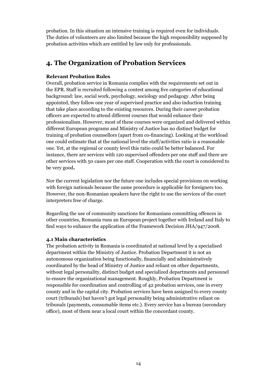probation. In this situation an intensive training is required even for individuals. The duties of volunteers are also limited because the high responsibility supposed by probation activities which are entitled by law only for professionals.

## **4. The Organization of Probation Services**

#### **Relevant Probation Rules**

Overall, probation service in Romania complies with the requirements set out in the EPR. Staff is recruited following a contest among five categories of educational background: law, social work, psychology, sociology and pedagogy. After being appointed, they follow one year of supervised practice and also induction training that take place according to the existing resources. During their career probation officers are expected to attend different courses that would enhance their professionalism. However, most of these courses were organized and delivered within different European programs and Ministry of Justice has no distinct budget for training of probation counsellors (apart from co-financing). Looking at the workload one could estimate that at the national level the staff/activities ratio is a reasonable one. Yet, at the regional or county level this ratio could be better balanced. For instance, there are services with 120 supervised offenders per one staff and there are other services with 50 cases per one staff. Cooperation with the court is considered to be very good**.** 

Nor the current legislation nor the future one includes special provisions on working with foreign nationals because the same procedure is applicable for foreigners too. However, the non-Romanian speakers have the right to use the services of the court interpreters free of charge.

Regarding the use of community sanctions for Romanians committing offences in other countries, Romania runs an European project together with Ireland and Italy to find ways to enhance the application of the Framework Decision JHA/947/2008.

#### **4.1 Main characteristics**

The probation activity in Romania is coordinated at national level by a specialised department within the Ministry of Justice. Probation Department it is not an autonomous organization being functionally, financially and administratively coordinated by the head of Ministry of Justice and reliant on other departments, without legal personality, distinct budget and specialized departments and personnel to ensure the organizational management. Roughly, Probation Department is responsible for coordination and controlling of 42 probation services, one in every county and in the capital city. Probation services have been assigned to every county court (tribunals) but haven't got legal personality being administrative reliant on tribunals (payments, consumable items etc.). Every service has a bureau (secondary office), most of them near a local court within the concordant county.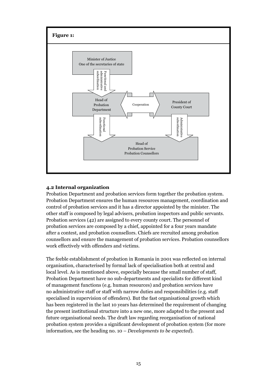

#### **4.2 Internal organization**

Probation Department and probation services form together the probation system. Probation Department ensures the human resources management, coordination and control of probation services and it has a director appointed by the minister. The other staff is composed by legal advisers, probation inspectors and public servants. Probation services (42) are assigned to every county court. The personnel of probation services are composed by a chief, appointed for a four years mandate after a contest, and probation counsellors. Chiefs are recruited among probation counsellors and ensure the management of probation services. Probation counsellors work effectively with offenders and victims.

The feeble establishment of probation in Romania in 2001 was reflected on internal organisation, characterised by formal lack of specialisation both at central and local level. As is mentioned above, especially because the small number of staff, Probation Department have no sub-departments and specialists for different kind of management functions (e.g. human resources) and probation services have no administrative staff or staff with narrow duties and responsibilities (e.g. staff specialised in supervision of offenders). But the fast organisational growth which has been registered in the last 10 years has determined the requirement of changing the present institutional structure into a new one, more adapted to the present and future organisational needs. The draft law regarding reorganisation of national probation system provides a significant development of probation system (for more information, see the heading no. 10 – *Developments to be expected*).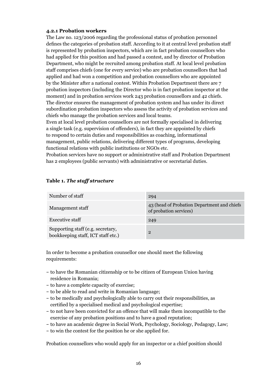#### **4.2.1 Probation workers**

The Law no. 123/2006 regarding the professional status of probation personnel defines the categories of probation staff. According to it at central level probation staff is represented by probation inspectors, which are in fact probation counsellors who had applied for this position and had passed a contest, and by director of Probation Department, who might be recruited among probation staff. At local level probation staff comprises chiefs (one for every service) who are probation counsellors that had applied and had won a competition and probation counsellors who are appointed by the Minister after a national contest. Within Probation Department there are 7 probation inspectors (including the Director who is in fact probation inspector at the moment) and in probation services work 243 probation counsellors and 42 chiefs. The director ensures the management of probation system and has under its direct subordination probation inspectors who assess the activity of probation services and chiefs who manage the probation services and local teams.

Even at local level probation counsellors are not formally specialised in delivering a single task (e.g. supervision of offenders), in fact they are appointed by chiefs to respond to certain duties and responsibilities as coaching, informational management, public relations, delivering different types of programs, developing functional relations with public institutions or NGOs etc.

Probation services have no support or administrative staff and Probation Department has 2 employees (public servants) with administrative or secretarial duties.

| Number of staff                                                         | 294                                                                   |
|-------------------------------------------------------------------------|-----------------------------------------------------------------------|
| Management staff                                                        | 43 (head of Probation Department and chiefs<br>of probation services) |
| <b>Executive staff</b>                                                  | 249                                                                   |
| Supporting staff (e.g. secretary,<br>bookkeeping staff, ICT staff etc.) | $\overline{2}$                                                        |

#### **Table 1.** *The staff structure*

In order to become a probation counsellor one should meet the following requirements:

- to have the Romanian citizenship or to be citizen of European Union having residence in Romania;
- to have a complete capacity of exercise;
- to be able to read and write in Romanian language;
- to be medically and psychologically able to carry out their responsibilities, as certified by a specialised medical and psychological expertise;
- to not have been convicted for an offence that will make them incompatible to the exercise of any probation positions and to have a good reputation;
- to have an academic degree in Social Work, Psychology, Sociology, Pedagogy, Law;
- to win the contest for the position he or she applied for.

Probation counsellors who would apply for an inspector or a chief position should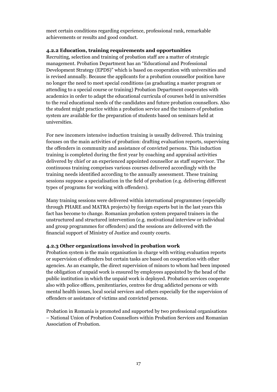meet certain conditions regarding experience, professional rank, remarkable achievements or results and good conduct.

#### **4.2.2 Education, training requirements and opportunities**

Recruiting, selection and training of probation staff are a matter of strategic management. Probation Department has an "Educational and Professional Development Strategy (EPDS)" which is based on cooperation with universities and is revised annually. Because the applicants for a probation counsellor position have no longer the need to meet special conditions (as graduating a master program or attending to a special course or training) Probation Department cooperates with academics in order to adapt the educational curricula of courses held in universities to the real educational needs of the candidates and future probation counsellors. Also the student might practice within a probation service and the trainers of probation system are available for the preparation of students based on seminars held at universities.

For new incomers intensive induction training is usually delivered. This training focuses on the main activities of probation: drafting evaluation reports, supervising the offenders in community and assistance of convicted persons. This induction training is completed during the first year by coaching and appraisal activities delivered by chief or an experienced appointed counsellor as staff supervisor. The continuous training comprises various courses delivered accordingly with the training needs identified according to the annually assessment. These training sessions suppose a specialisation in the field of probation (e.g. delivering different types of programs for working with offenders).

Many training sessions were delivered within international programmes (especially through PHARE and MATRA projects) by foreign experts but in the last years this fact has become to change. Romanian probation system prepared trainers in the unstructured and structured intervention (e.g. motivational interview or individual and group programmes for offenders) and the sessions are delivered with the financial support of Ministry of Justice and county courts.

#### **4.2.3 Other organizations involved in probation work**

Probation system is the main organisation in charge with writing evaluation reports or supervision of offenders but certain tasks are based on cooperation with other agencies. As an example, the direct supervision of minors to whom had been imposed the obligation of unpaid work is ensured by employees appointed by the head of the public institution in which the unpaid work is deployed. Probation services cooperate also with police offices, penitentiaries, centres for drug addicted persons or with mental health issues, local social services and others especially for the supervision of offenders or assistance of victims and convicted persons.

Probation in Romania is promoted and supported by two professional organisations – National Union of Probation Counsellors within Probation Services and Romanian Association of Probation.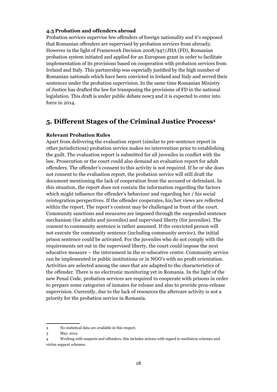#### **4.3 Probation and offenders abroad**

Probation services supervise few offenders of foreign nationality and it's supposed that Romanian offenders are supervised by probation services from abroad2. However in the light of Framework Decision 2008/947/JHA (FD), Romanian probation system initiated and applied for an European grant in order to facilitate implementation of its provisions based on cooperation with probation services from Ireland and Italy. This partnership was especially justified by the high number of Romanian nationals which have been convicted in Ireland and Italy and served their sentences under the probation supervision. In the same time Romanian Ministry of Justice has drafted the law for transposing the provisions of FD in the national legislation. This draft is under public debate now3 and it is expected to enter into force in 2014.

### **5. Different Stages of the Criminal Justice Process<sup>4</sup>**

#### **Relevant Probation Rules**

Apart from delivering the evaluation report (similar to pre-sentence report in other jurisdictions) probation service makes no intervention prior to establishing the guilt. The evaluation report is submitted for all juveniles in conflict with the law. Prosecution or the court could also demand an evaluation report for adult offenders. The offender's consent to this activity is not required. If he or she does not consent to the evaluation report, the probation service will still draft the document mentioning the lack of cooperation from the accused or defendant. In this situation, the report does not contain the information regarding the factors which might influence the offender's behaviour and regarding her / his social reintegration perspectives. If the offender cooperates, his/her views are reflected within the report. The report's content may be challenged in front of the court. Community sanctions and measures are imposed through the suspended sentence mechanism (for adults and juveniles) and supervised liberty (for juveniles). The consent to community sentence is rather assumed. If the convicted person will not execute the community sentence (including community service), the initial prison sentence could be activated. For the juveniles who do not comply with the requirements set out in the supervised liberty, the court could impose the next educative measure – the internment in the re-educative centre. Community service can be implemented in public institutions or in NGO's with no profit orientation. Activities are selected among the ones that are adapted to the characteristics of the offender. There is no electronic monitoring yet in Romania. In the light of the new Penal Code, probation services are required to cooperate with prisons in order to prepare some categories of inmates for release and also to provide pros-release supervision. Currently, due to the lack of resources the aftercare activity is not a priority for the probation service in Romania.

<sup>2</sup> No statistical data are available in this respect.

<sup>3</sup> May, 2012.

<sup>4</sup> Working with suspects and offenders, this includes actions with regard to mediation schemes and victim support schemes.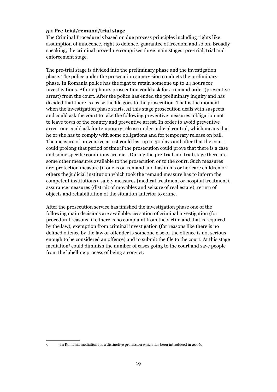#### **5.1 Pre-trial/remand/trial stage**

The Criminal Procedure is based on due process principles including rights like: assumption of innocence, right to defence, guarantee of freedom and so on. Broadly speaking, the criminal procedure comprises three main stages: pre-trial, trial and enforcement stage.

The pre-trial stage is divided into the preliminary phase and the investigation phase. The police under the prosecution supervision conducts the preliminary phase. In Romania police has the right to retain someone up to 24 hours for investigations. After 24 hours prosecution could ask for a remand order (preventive arrest) from the court. After the police has ended the preliminary inquiry and has decided that there is a case the file goes to the prosecution. That is the moment when the investigation phase starts. At this stage prosecution deals with suspects and could ask the court to take the following preventive measures: obligation not to leave town or the country and preventive arrest. In order to avoid preventive arrest one could ask for temporary release under judicial control, which means that he or she has to comply with some obligations and for temporary release on bail. The measure of preventive arrest could last up to 30 days and after that the court could prolong that period of time if the prosecution could prove that there is a case and some specific conditions are met. During the pre-trial and trial stage there are some other measures available to the prosecution or to the court. Such measures are: protection measure (if one is on remand and has in his or her care children or others the judicial institution which took the remand measure has to inform the competent institutions), safety measures (medical treatment or hospital treatment), assurance measures (distrait of movables and seizure of real estate), return of objects and rehabilitation of the situation anterior to crime.

After the prosecution service has finished the investigation phase one of the following main decisions are available: cessation of criminal investigation (for procedural reasons like there is no complaint from the victim and that is required by the law), exemption from criminal investigation (for reasons like there is no defined offence by the law or offender is someone else or the offence is not serious enough to be considered an offence) and to submit the file to the court. At this stage mediation5 could diminish the number of cases going to the court and save people from the labelling process of being a convict.

<sup>5</sup> In Romania mediation it's a distinctive profession which has been introduced in 2006.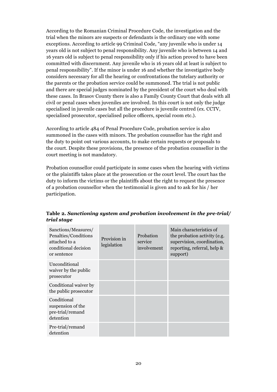According to the Romanian Criminal Procedure Code, the investigation and the trial when the minors are suspects or defendants is the ordinary one with some exceptions. According to article 99 Criminal Code, "any juvenile who is under 14 years old is not subject to penal responsibility. Any juvenile who is between 14 and 16 years old is subject to penal responsibility only if his action proved to have been committed with discernment. Any juvenile who is 16 years old at least is subject to penal responsibility". If the minor is under 16 and whether the investigative body considers necessary for all the hearing or confrontations the tutelary authority or the parents or the probation service could be summoned. The trial is not public and there are special judges nominated by the president of the court who deal with these cases. In Brasov County there is also a Family County Court that deals with all civil or penal cases when juveniles are involved. In this court is not only the judge specialised in juvenile cases but all the procedure is juvenile centred (ex. CCTV, specialised prosecutor, specialised police officers, special room etc.).

According to article 484 of Penal Procedure Code, probation service is also summoned in the cases with minors. The probation counsellor has the right and the duty to point out various accounts, to make certain requests or proposals to the court. Despite these provisions, the presence of the probation counsellor in the court meeting is not mandatory.

Probation counsellor could participate in some cases when the hearing with victims or the plaintiffs takes place at the prosecution or the court level. The court has the duty to inform the victims or the plaintiffs about the right to request the presence of a probation counsellor when the testimonial is given and to ask for his / her participation.

| Sanctions/Measures/<br>Penalties/Conditions<br>attached to a<br>conditional decision<br>or sentence | Provision in<br>legislation | Probation<br>service<br>involvement | Main characteristics of<br>the probation activity (e.g.<br>supervision, coordination,<br>reporting, referral, help &<br>support) |
|-----------------------------------------------------------------------------------------------------|-----------------------------|-------------------------------------|----------------------------------------------------------------------------------------------------------------------------------|
| Unconditional<br>waiver by the public<br>prosecutor                                                 |                             |                                     |                                                                                                                                  |
| Conditional waiver by<br>the public prosecutor                                                      |                             |                                     |                                                                                                                                  |
| Conditional<br>suspension of the<br>pre-trial/remand<br>detention                                   |                             |                                     |                                                                                                                                  |
| Pre-trial/remand<br>detention                                                                       |                             |                                     |                                                                                                                                  |

**Table 2.** *Sanctioning system and probation involvement in the pre-trial/ trial stage*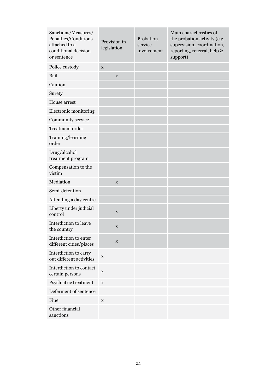| Sanctions/Measures/<br>Penalties/Conditions<br>attached to a<br>conditional decision<br>or sentence | Provision in<br>legislation | Probation<br>service<br>involvement | Main characteristics of<br>the probation activity (e.g.<br>supervision, coordination,<br>reporting, referral, help &<br>support) |
|-----------------------------------------------------------------------------------------------------|-----------------------------|-------------------------------------|----------------------------------------------------------------------------------------------------------------------------------|
| Police custody                                                                                      | $\mathbf X$                 |                                     |                                                                                                                                  |
| Bail                                                                                                | $\mathbf X$                 |                                     |                                                                                                                                  |
| Caution                                                                                             |                             |                                     |                                                                                                                                  |
| Surety                                                                                              |                             |                                     |                                                                                                                                  |
| House arrest                                                                                        |                             |                                     |                                                                                                                                  |
| Electronic monitoring                                                                               |                             |                                     |                                                                                                                                  |
| Community service                                                                                   |                             |                                     |                                                                                                                                  |
| Treatment order                                                                                     |                             |                                     |                                                                                                                                  |
| Training/learning<br>order                                                                          |                             |                                     |                                                                                                                                  |
| Drug/alcohol<br>treatment program                                                                   |                             |                                     |                                                                                                                                  |
| Compensation to the<br>victim                                                                       |                             |                                     |                                                                                                                                  |
| Mediation                                                                                           | $\mathbf X$                 |                                     |                                                                                                                                  |
| Semi-detention                                                                                      |                             |                                     |                                                                                                                                  |
| Attending a day centre                                                                              |                             |                                     |                                                                                                                                  |
| Liberty under judicial<br>control                                                                   | X                           |                                     |                                                                                                                                  |
| Interdiction to leave<br>the country                                                                | $\mathbf X$                 |                                     |                                                                                                                                  |
| Interdiction to enter<br>different cities/places                                                    | X                           |                                     |                                                                                                                                  |
| Interdiction to carry<br>out different activities                                                   | $\mathbf X$                 |                                     |                                                                                                                                  |
| Interdiction to contact<br>certain persons                                                          | $\mathbf X$                 |                                     |                                                                                                                                  |
| Psychiatric treatment                                                                               | $\mathbf X$                 |                                     |                                                                                                                                  |
| Deferment of sentence                                                                               |                             |                                     |                                                                                                                                  |
| Fine                                                                                                | X                           |                                     |                                                                                                                                  |
| Other financial<br>sanctions                                                                        |                             |                                     |                                                                                                                                  |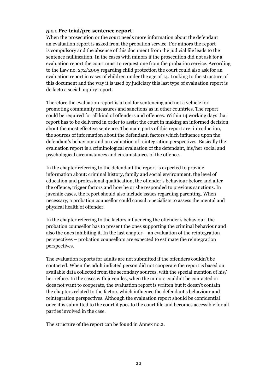#### **5.1.1 Pre-trial/pre-sentence report**

When the prosecution or the court needs more information about the defendant an evaluation report is asked from the probation service. For minors the report is compulsory and the absence of this document from the judicial file leads to the sentence nullification. In the cases with minors if the prosecution did not ask for a evaluation report the court must to request one from the probation service. According to the Law no. 272/2005 regarding child protection the court could also ask for an evaluation report in cases of children under the age of 14. Looking to the structure of this document and the way it is used by judiciary this last type of evaluation report is de facto a social inquiry report.

Therefore the evaluation report is a tool for sentencing and not a vehicle for promoting community measures and sanctions as in other countries. The report could be required for all kind of offenders and offences. Within 14 working days that report has to be delivered in order to assist the court in making an informed decision about the most effective sentence. The main parts of this report are: introduction, the sources of information about the defendant, factors which influence upon the defendant's behaviour and an evaluation of reintegration perspectives. Basically the evaluation report is a criminological evaluation of the defendant, his/her social and psychological circumstances and circumstances of the offence.

In the chapter referring to the defendant the report is expected to provide information about: criminal history, family and social environment, the level of education and professional qualification, the offender's behaviour before and after the offence, trigger factors and how he or she responded to previous sanctions. In juvenile cases, the report should also include issues regarding parenting. When necessary, a probation counsellor could consult specialists to assess the mental and physical health of offender.

In the chapter referring to the factors influencing the offender's behaviour, the probation counsellor has to present the ones supporting the criminal behaviour and also the ones inhibiting it. In the last chapter – an evaluation of the reintegration perspectives – probation counsellors are expected to estimate the reintegration perspectives.

The evaluation reports for adults are not submitted if the offenders couldn't be contacted. When the adult indicted person did not cooperate the report is based on available data collected from the secondary sources, with the special mention of his/ her refuse. In the cases with juveniles, when the minors couldn't be contacted or does not want to cooperate, the evaluation report is written but it doesn't contain the chapters related to the factors which influence the defendant's behaviour and reintegration perspectives. Although the evaluation report should be confidential once it is submitted to the court it goes to the court file and becomes accessible for all parties involved in the case.

The structure of the report can be found in Annex no.2.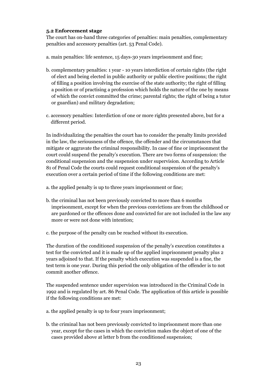#### **5.2 Enforcement stage**

The court has on-hand three categories of penalties: main penalties, complementary penalties and accessory penalties (art. 53 Penal Code).

a. main penalties: life sentence, 15 days-30 years imprisonment and fine;

- b. complementary penalties: 1 year 10 years interdiction of certain rights (the right of elect and being elected in public authority or public elective positions; the right of filling a position involving the exercise of the state authority; the right of filling a position or of practising a profession which holds the nature of the one by means of which the convict committed the crime; parental rights; the right of being a tutor or guardian) and military degradation;
- c. accessory penalties: Interdiction of one or more rights presented above, but for a different period.

In individualizing the penalties the court has to consider the penalty limits provided in the law, the seriousness of the offence, the offender and the circumstances that mitigate or aggravate the criminal responsibility. In case of fine or imprisonment the court could suspend the penalty's execution. There are two forms of suspension: the conditional suspension and the suspension under supervision. According to Article 81 of Penal Code the courts could request conditional suspension of the penalty's execution over a certain period of time if the following conditions are met:

a. the applied penalty is up to three years imprisonment or fine;

- b. the criminal has not been previously convicted to more than 6 months imprisonment, except for when the previous convictions are from the childhood or are pardoned or the offences done and convicted for are not included in the law any more or were not done with intention;
- c. the purpose of the penalty can be reached without its execution.

The duration of the conditioned suspension of the penalty's execution constitutes a test for the convicted and it is made up of the applied imprisonment penalty plus 2 years adjoined to that. If the penalty which execution was suspended is a fine, the test term is one year. During this period the only obligation of the offender is to not commit another offence.

The suspended sentence under supervision was introduced in the Criminal Code in 1992 and is regulated by art. 86 Penal Code. The application of this article is possible if the following conditions are met:

- a. the applied penalty is up to four years imprisonment;
- b. the criminal has not been previously convicted to imprisonment more than one year, except for the cases in which the conviction makes the object of one of the cases provided above at letter b from the conditioned suspension;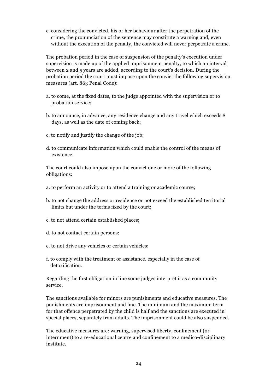c. considering the convicted, his or her behaviour after the perpetration of the crime, the pronunciation of the sentence may constitute a warning and, even without the execution of the penalty, the convicted will never perpetrate a crime.

The probation period in the case of suspension of the penalty's execution under supervision is made up of the applied imprisonment penalty, to which an interval between 2 and 5 years are added, according to the court's decision. During the probation period the court must impose upon the convict the following supervision measures (art. 863 Penal Code):

- a. to come, at the fixed dates, to the judge appointed with the supervision or to probation service;
- b. to announce, in advance, any residence change and any travel which exceeds 8 days, as well as the date of coming back;
- c. to notify and justify the change of the job;
- d. to communicate information which could enable the control of the means of existence.

The court could also impose upon the convict one or more of the following obligations:

- a. to perform an activity or to attend a training or academic course;
- b. to not change the address or residence or not exceed the established territorial limits but under the terms fixed by the court;
- c. to not attend certain established places;
- d. to not contact certain persons;
- e. to not drive any vehicles or certain vehicles;
- f. to comply with the treatment or assistance, especially in the case of detoxification.

Regarding the first obligation in line some judges interpret it as a community service.

The sanctions available for minors are punishments and educative measures. The punishments are imprisonment and fine. The minimum and the maximum term for that offence perpetrated by the child is half and the sanctions are executed in special places, separately from adults. The imprisonment could be also suspended.

The educative measures are: warning, supervised liberty, confinement (or internment) to a re-educational centre and confinement to a medico-disciplinary institute.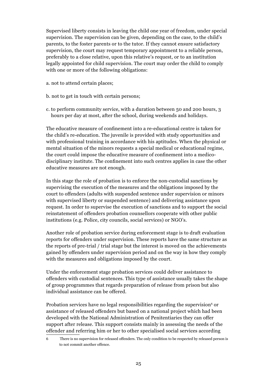Supervised liberty consists in leaving the child one year of freedom, under special supervision. The supervision can be given, depending on the case, to the child's parents, to the foster parents or to the tutor. If they cannot ensure satisfactory supervision, the court may request temporary appointment to a reliable person, preferably to a close relative, upon this relative's request, or to an institution legally appointed for child supervision. The court may order the child to comply with one or more of the following obligations:

- a. not to attend certain places;
- b. not to get in touch with certain persons;
- c. to perform community service, with a duration between 50 and 200 hours, 3 hours per day at most, after the school, during weekends and holidays.

The educative measure of confinement into a re-educational centre is taken for the child's re-education. The juvenile is provided with study opportunities and with professional training in accordance with his aptitudes. When the physical or mental situation of the minors requests a special medical or educational regime, the court could impose the educative measure of confinement into a medicodisciplinary institute. The confinement into such centres applies in case the other educative measures are not enough.

In this stage the role of probation is to enforce the non-custodial sanctions by supervising the execution of the measures and the obligations imposed by the court to offenders (adults with suspended sentence under supervision or minors with supervised liberty or suspended sentence) and delivering assistance upon request. In order to supervise the execution of sanctions and to support the social reinstatement of offenders probation counsellors cooperate with other public institutions (e.g. Police, city councils, social services) or NGO's.

Another role of probation service during enforcement stage is to draft evaluation reports for offenders under supervision. These reports have the same structure as the reports of pre-trial / trial stage but the interest is moved on the achievements gained by offenders under supervision period and on the way in how they comply with the measures and obligations imposed by the court.

Under the enforcement stage probation services could deliver assistance to offenders with custodial sentences. This type of assistance usually takes the shape of group programmes that regards preparation of release from prison but also individual assistance can be offered.

Probation services have no legal responsibilities regarding the supervision $\epsilon$  or assistance of released offenders but based on a national project which had been developed with the National Administration of Penitentiaries they can offer support after release. This support consists mainly in assessing the needs of the offender and referring him or her to other specialised social services according

<sup>6</sup> There is no supervision for released offenders. The only condition to be respected by released person is to not commit another offence.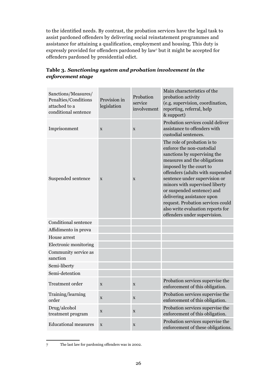to the identified needs. By contrast, the probation services have the legal task to assist pardoned offenders by delivering social reinstatement programmes and assistance for attaining a qualification, employment and housing. This duty is expressly provided for offenders pardoned by law<sup>7</sup> but it might be accepted for offenders pardoned by presidential edict.

| Sanctions/Measures/<br>Penalties/Conditions<br>attached to a<br>conditional sentence | Provision in<br>legislation | Probation<br>service<br>involvement | Main characteristics of the<br>probation activity<br>(e.g. supervision, coordination,<br>reporting, referral, help<br>& support)                                                                                                                                                                                                                                                                                                 |
|--------------------------------------------------------------------------------------|-----------------------------|-------------------------------------|----------------------------------------------------------------------------------------------------------------------------------------------------------------------------------------------------------------------------------------------------------------------------------------------------------------------------------------------------------------------------------------------------------------------------------|
| Imprisonment                                                                         | $\mathbf X$                 | $\mathbf X$                         | Probation services could deliver<br>assistance to offenders with<br>custodial sentences.                                                                                                                                                                                                                                                                                                                                         |
| Suspended sentence                                                                   | X                           | $\mathbf X$                         | The role of probation is to<br>enforce the non-custodial<br>sanctions by supervising the<br>measures and the obligations<br>imposed by the court to<br>offenders (adults with suspended<br>sentence under supervision or<br>minors with supervised liberty<br>or suspended sentence) and<br>delivering assistance upon<br>request. Probation services could<br>also write evaluation reports for<br>offenders under supervision. |
| Conditional sentence                                                                 |                             |                                     |                                                                                                                                                                                                                                                                                                                                                                                                                                  |
| Affidimento in prova                                                                 |                             |                                     |                                                                                                                                                                                                                                                                                                                                                                                                                                  |
| House arrest                                                                         |                             |                                     |                                                                                                                                                                                                                                                                                                                                                                                                                                  |
| Electronic monitoring                                                                |                             |                                     |                                                                                                                                                                                                                                                                                                                                                                                                                                  |
| Community service as<br>sanction                                                     |                             |                                     |                                                                                                                                                                                                                                                                                                                                                                                                                                  |
| Semi-liberty                                                                         |                             |                                     |                                                                                                                                                                                                                                                                                                                                                                                                                                  |
| Semi-detention                                                                       |                             |                                     |                                                                                                                                                                                                                                                                                                                                                                                                                                  |
| Treatment order                                                                      | X                           | $\mathbf X$                         | Probation services supervise the<br>enforcement of this obligation.                                                                                                                                                                                                                                                                                                                                                              |
| Training/learning<br>order                                                           | $\mathbf X$                 | $\mathbf X$                         | Probation services supervise the<br>enforcement of this obligation.                                                                                                                                                                                                                                                                                                                                                              |
| Drug/alcohol<br>treatment program                                                    | $\mathbf X$                 | $\mathbf X$                         | Probation services supervise the<br>enforcement of this obligation.                                                                                                                                                                                                                                                                                                                                                              |
| <b>Educational measures</b>                                                          | $\mathbf X$                 | $\mathbf X$                         | Probation services supervise the<br>enforcement of these obligations.                                                                                                                                                                                                                                                                                                                                                            |

## **Table 3.** *Sanctioning system and probation involvement in the enforcement stage*

<sup>7</sup> The last law for pardoning offenders was in 2002.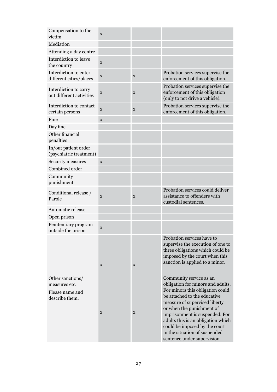| Compensation to the<br>victim                                          | X           |             |                                                                                                                                                                                                                                                                                                                                                                         |
|------------------------------------------------------------------------|-------------|-------------|-------------------------------------------------------------------------------------------------------------------------------------------------------------------------------------------------------------------------------------------------------------------------------------------------------------------------------------------------------------------------|
| Mediation                                                              |             |             |                                                                                                                                                                                                                                                                                                                                                                         |
| Attending a day centre                                                 |             |             |                                                                                                                                                                                                                                                                                                                                                                         |
| Interdiction to leave<br>the country                                   | X           |             |                                                                                                                                                                                                                                                                                                                                                                         |
| Interdiction to enter<br>different cities/places                       | $\mathbf X$ | X           | Probation services supervise the<br>enforcement of this obligation.                                                                                                                                                                                                                                                                                                     |
| Interdiction to carry<br>out different activities                      | $\mathbf X$ | X           | Probation services supervise the<br>enforcement of this obligation<br>(only to not drive a vehicle).                                                                                                                                                                                                                                                                    |
| Interdiction to contact<br>certain persons                             | X           | $\mathbf X$ | Probation services supervise the<br>enforcement of this obligation.                                                                                                                                                                                                                                                                                                     |
| Fine                                                                   | X           |             |                                                                                                                                                                                                                                                                                                                                                                         |
| Day fine                                                               |             |             |                                                                                                                                                                                                                                                                                                                                                                         |
| Other financial<br>penalties                                           |             |             |                                                                                                                                                                                                                                                                                                                                                                         |
| In/out patient order<br>(psychiatric treatment)                        |             |             |                                                                                                                                                                                                                                                                                                                                                                         |
| Security measures                                                      | X           |             |                                                                                                                                                                                                                                                                                                                                                                         |
| Combined order                                                         |             |             |                                                                                                                                                                                                                                                                                                                                                                         |
| Community<br>punishment                                                |             |             |                                                                                                                                                                                                                                                                                                                                                                         |
| Conditional release /<br>Parole                                        | X           | $\mathbf X$ | Probation services could deliver<br>assistance to offenders with<br>custodial sentences.                                                                                                                                                                                                                                                                                |
| Automatic release                                                      |             |             |                                                                                                                                                                                                                                                                                                                                                                         |
| Open prison                                                            |             |             |                                                                                                                                                                                                                                                                                                                                                                         |
| Penitentiary program<br>outside the prison                             | $\mathbf X$ |             |                                                                                                                                                                                                                                                                                                                                                                         |
|                                                                        | X           | X           | Probation services have to<br>supervise the execution of one to<br>three obligations which could be<br>imposed by the court when this<br>sanction is applied to a minor.                                                                                                                                                                                                |
| Other sanctions/<br>measures etc.<br>Please name and<br>describe them. | X           | X           | Community service as an<br>obligation for minors and adults.<br>For minors this obligation could<br>be attached to the educative<br>measure of supervised liberty<br>or when the punishment of<br>imprisonment is suspended. For<br>adults this is an obligation which<br>could be imposed by the court<br>in the situation of suspended<br>sentence under supervision. |
|                                                                        |             |             |                                                                                                                                                                                                                                                                                                                                                                         |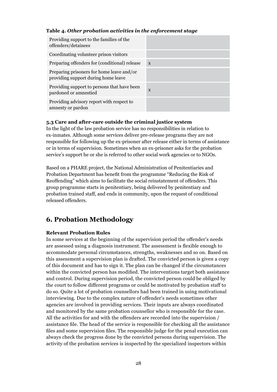#### **Table 4.** *Other probation activities in the enforcement stage*

| Providing support to the families of the<br>offenders/detainees                  |              |
|----------------------------------------------------------------------------------|--------------|
| Coordinating volunteer prison visitors                                           |              |
| Preparing offenders for (conditional) release                                    | $\mathbf{x}$ |
| Preparing prisoners for home leave and/or<br>providing support during home leave |              |
| Providing support to persons that have been<br>pardoned or amnestied             | X            |
| Providing advisory report with respect to<br>amnesty or pardon                   |              |

#### **5.3 Care and after-care outside the criminal justice system**

In the light of the law probation service has no responsibilities in relation to ex-inmates. Although some services deliver pre-release programs they are not responsible for following up the ex-prisoner after release either in terms of assistance or in terms of supervision. Sometimes when an ex-prisoner asks for the probation service's support he or she is referred to other social work agencies or to NGOs.

Based on a PHARE project, the National Administration of Penitentiaries and Probation Department has benefit from the programme "Reducing the Risk of Reoffending" which aims to facilitate the social reinstatement of offenders. This group programme starts in penitentiary, being delivered by penitentiary and probation trained staff, and ends in community, upon the request of conditional released offenders.

## **6. Probation Methodology**

#### **Relevant Probation Rules**

In some services at the beginning of the supervision period the offender's needs are assessed using a diagnosis instrument. The assessment is flexible enough to accommodate personal circumstances, strengths, weaknesses and so on. Based on this assessment a supervision plan is drafted. The convicted person is given a copy of this document and has to sign it. The plan can be changed if the circumstances within the convicted person has modified. The interventions target both assistance and control. During supervision period, the convicted person could be obliged by the court to follow different programs or could be motivated by probation staff to do so. Quite a lot of probation counsellors had been trained in using motivational interviewing. Due to the complex nature of offender's needs sometimes other agencies are involved in providing services. Their inputs are always coordinated and monitored by the same probation counsellor who is responsible for the case. All the activities for and with the offenders are recorded into the supervision / assistance file. The head of the service is responsible for checking all the assistance files and some supervision files. The responsible judge for the penal execution can always check the progress done by the convicted persons during supervision. The activity of the probation services is inspected by the specialized inspectors within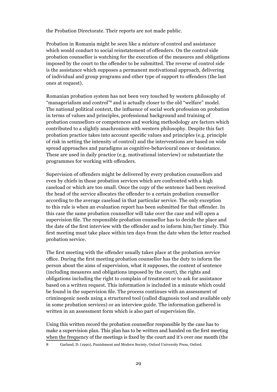the Probation Directorate. Their reports are not made public.

Probation in Romania might be seen like a mixture of control and assistance which would conduct to social reinstatement of offenders. On the control side probation counsellor is watching for the execution of the measures and obligations imposed by the court to the offender to be submitted. The reverse of control side is the assistance which supposes a permanent motivational approach, delivering of individual and group programs and other type of support to offenders (the last ones at request).

Romanian probation system has not been very touched by western philosophy of "managerialism and control"<sup>8</sup> and is actually closer to the old "welfare" model. The national political context, the influence of social work profession on probation in terms of values and principles, professional background and training of probation counsellors or competences and working methodology are factors which contributed to a slightly anachronism with western philosophy. Despite this fact probation practice takes into account specific values and principles (e.g. principle of risk in setting the intensity of control) and the interventions are based on wide spread approaches and paradigms as cognitive-behavioural ones or desistance. These are used in daily practice (e.g. motivational interview) or substantiate the programmes for working with offenders.

Supervision of offenders might be delivered by every probation counsellors and even by chiefs in those probation services which are confronted with a high caseload or which are too small. Once the copy of the sentence had been received the head of the service allocates the offender to a certain probation counsellor according to the average caseload in that particular service. The only exception to this rule is when an evaluation report has been submitted for that offender. In this case the same probation counsellor will take over the case and will open a supervision file. The responsible probation counsellor has to decide the place and the date of the first interview with the offender and to inform him/her timely. This first meeting must take place within ten days from the date when the letter reached probation service.

The first meeting with the offender usually takes place at the probation service office. During the first meeting probation counsellor has the duty to inform the person about the aims of supervision, what it supposes, the content of sentence (including measures and obligations imposed by the court), the rights and obligations including the right to complain of treatment or to ask for assistance based on a written request. This information is included in a minute which could be found in the supervision file. The process continues with an assessment of criminogenic needs using a structured tool (called diagnosis tool and available only in some probation services) or an interview guide. The information gathered is written in an assessment form which is also part of supervision file.

Using this written record the probation counsellor responsible by the case has to make a supervision plan. This plan has to be written and handed on the first meeting when the frequency of the meetings is fixed by the court and it's over one month (the

8 Garland, D. (1990), Punishment and Modern Society, Oxford University Press, Oxford.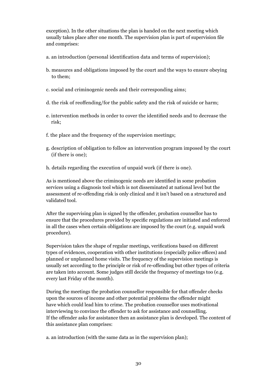exception). In the other situations the plan is handed on the next meeting which usually takes place after one month. The supervision plan is part of supervision file and comprises:

- a. an introduction (personal identification data and terms of supervision);
- b. measures and obligations imposed by the court and the ways to ensure obeying to them;
- c. social and criminogenic needs and their corresponding aims;
- d. the risk of reoffending/for the public safety and the risk of suicide or harm;
- e. intervention methods in order to cover the identified needs and to decrease the risk;
- f. the place and the frequency of the supervision meetings;
- g. description of obligation to follow an intervention program imposed by the court (if there is one);
- h. details regarding the execution of unpaid work (if there is one).

As is mentioned above the criminogenic needs are identified in some probation services using a diagnosis tool which is not disseminated at national level but the assessment of re-offending risk is only clinical and it isn't based on a structured and validated tool.

After the supervising plan is signed by the offender, probation counsellor has to ensure that the procedures provided by specific regulations are initiated and enforced in all the cases when certain obligations are imposed by the court (e.g. unpaid work procedure).

Supervision takes the shape of regular meetings, verifications based on different types of evidences, cooperation with other institutions (especially police offices) and planned or unplanned home visits. The frequency of the supervision meetings is usually set according to the principle or risk of re-offending but other types of criteria are taken into account. Some judges still decide the frequency of meetings too (e.g. every last Friday of the month).

During the meetings the probation counsellor responsible for that offender checks upon the sources of income and other potential problems the offender might have which could lead him to crime. The probation counsellor uses motivational interviewing to convince the offender to ask for assistance and counselling. If the offender asks for assistance then an assistance plan is developed. The content of this assistance plan comprises:

a. an introduction (with the same data as in the supervision plan);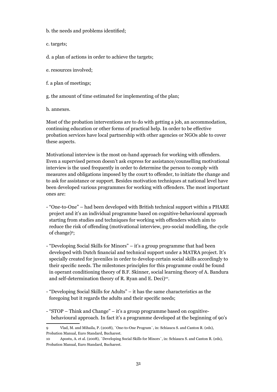b. the needs and problems identified;

c. targets;

- d. a plan of actions in order to achieve the targets;
- e. resources involved;
- f. a plan of meetings;
- g. the amount of time estimated for implementing of the plan;

h. annexes.

Most of the probation interventions are to do with getting a job, an accommodation, continuing education or other forms of practical help. In order to be effective probation services have local partnership with other agencies or NGOs able to cover these aspects.

Motivational interview is the most on-hand approach for working with offenders. Even a supervised person doesn't ask express for assistance/counselling motivational interview is the used frequently in order to determine the person to comply with measures and obligations imposed by the court to offender, to initiate the change and to ask for assistance or support. Besides motivation techniques at national level have been developed various programmes for working with offenders. The most important ones are:

- "One-to-One" had been developed with British technical support within a PHARE project and it's an individual programme based on cognitive-behavioural approach starting from studies and techniques for working with offenders which aim to reduce the risk of offending (motivational interview, pro-social modelling, the cycle of change)<sup>9</sup>;
- "Developing Social Skills for Minors" it's a group programme that had been developed with Dutch financial and technical support under a MATRA project. It's specially created for juveniles in order to develop certain social skills accordingly to their specific needs. The milestones principles for this programme could be found in operant conditioning theory of B.F. Skinner, social learning theory of A. Bandura and self-determination theory of R. Ryan and E. Deci)<sup>10</sup>.
- "Developing Social Skills for Adults" it has the same characteristics as the foregoing but it regards the adults and their specific needs;
- "STOP Think and Change" it's a group programme based on cognitivebehavioural approach. In fact it's a programme developed at the beginning of 90's

<sup>9</sup> Vlad, M. and Mihaila, P. (2008), `One-to-One Program`, in: Schiaucu S. and Canton R. (eds), Probation Manual, Euro Standard, Bucharest.

<sup>10</sup> Apostu, A. et al. (2008), `Developing Social Skills for Minors`, in: Schiaucu S. and Canton R. (eds), Probation Manual, Euro Standard, Bucharest.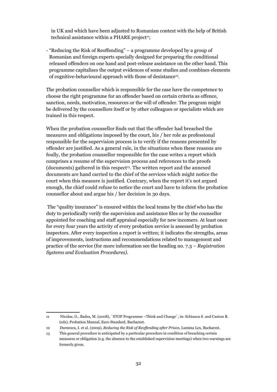in UK and which have been adjusted to Romanian context with the help of British technical assistance within a PHARE project $\mathbf{u}$ ;

- "Reducing the Risk of Reoffending" – a programme developed by a group of Romanian and foreign experts specially designed for preparing the conditional released offenders on one hand and post-release assistance on the other hand. This programme capitalises the output evidences of some studies and combines elements of cognitive-behavioural approach with those of desistance12.

The probation counsellor which is responsible for the case have the competence to choose the right programme for an offender based on certain criteria as offence, sanction, needs, motivation, resources or the will of offender. The program might be delivered by the counsellors itself or by other colleagues or specialists which are trained in this respect.

When the probation counsellor finds out that the offender had breached the measures and obligations imposed by the court, his / her role as professional responsible for the supervision process is to verify if the reasons presented by offender are justified. As a general rule, in the situations when these reasons are foully, the probation counsellor responsible for the case writes a report which comprises a resume of the supervision process and references to the proofs  $(d$ ocuments) gathered in this respect<sup>13</sup>. The written report and the annexed documents are hand carried to the chief of the services which might notice the court when this measure is justified. Contrary, when the report it's not argued enough, the chief could refuse to notice the court and have to inform the probation counsellor about and argue his / her decision in 30 days.

 The "quality insurance" is ensured within the local teams by the chief who has the duty to periodically verify the supervision and assistance files or by the counsellor appointed for coaching and staff appraisal especially for new incomers. At least once for every four years the activity of every probation service is assessed by probation inspectors. After every inspection a report is written; it indicates the strengths, areas of improvements, instructions and recommendations related to management and practice of the service (for more information see the heading no. 7.3 *– Registration Systems and Evaluation Procedures).*

<sup>11</sup> Nicolae, G., Badea, M. (2008), `STOP Programme –Think and Change`, in: Schiaucu S. and Canton R. (eds), Probation Manual, Euro Standard, Bucharest.

<sup>12</sup> Durnescu, I. et al. (2009), *Reducing the Risk of Reoffending after Prison,* Lumina Lex, Bucharest.

<sup>13</sup> This general procedure is anticipated by a particular procedure in condition of breaching certain measures or obligation (e.g. the absence to the established supervision meetings) when two warnings are formerly given.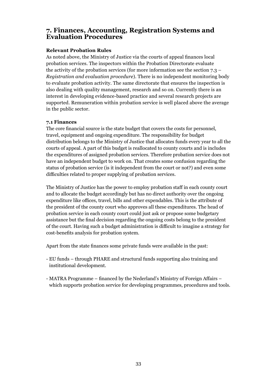## **7. Finances, Accounting, Registration Systems and Evaluation Procedures**

#### **Relevant Probation Rules**

As noted above, the Ministry of Justice via the courts of appeal finances local probation services. The inspectors within the Probation Directorate evaluate the activity of the probation services (for more information see the section 7.3 – *Registration and evaluation procedure*). There is no independent monitoring body to evaluate probation activity. The same directorate that ensures the inspection is also dealing with quality management, research and so on. Currently there is an interest in developing evidence-based practice and several research projects are supported. Remuneration within probation service is well placed above the average in the public sector.

#### **7.1 Finances**

The core financial source is the state budget that covers the costs for personnel, travel, equipment and ongoing expenditure. The responsibility for budget distribution belongs to the Ministry of Justice that allocates funds every year to all the courts of appeal. A part of this budget is reallocated to county courts and is includes the expenditures of assigned probation services. Therefore probation service does not have an independent budget to work on. That creates some confusion regarding the status of probation service (is it independent from the court or not?) and even some difficulties related to proper supplying of probation services.

The Ministry of Justice has the power to employ probation staff in each county court and to allocate the budget accordingly but has no direct authority over the ongoing expenditure like offices, travel, bills and other expendables. This is the attribute of the president of the county court who approves all these expenditures. The head of probation service in each county court could just ask or propose some budgetary assistance but the final decision regarding the ongoing costs belong to the president of the court. Having such a budget administration is difficult to imagine a strategy for cost-benefits analysis for probation system.

Apart from the state finances some private funds were available in the past:

- EU funds through PHARE and structural funds supporting also training and institutional development.
- MATRA Programme financed by the Nederland's Ministry of Foreign Affairs which supports probation service for developing programmes, procedures and tools.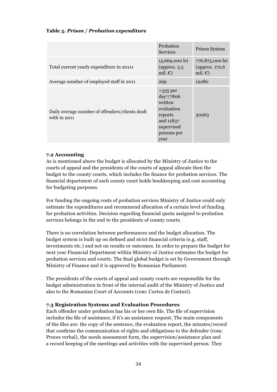#### **Table 5.** *Prison / Probation expenditure*

|                                                                   | Probation<br><b>Services</b>                                                                                     | <b>Prison System</b>                                    |
|-------------------------------------------------------------------|------------------------------------------------------------------------------------------------------------------|---------------------------------------------------------|
| Total current yearly expenditure in 20111                         | 15,669,000 lei<br>(approx. $3.5$<br>mil. $\epsilon$ )                                                            | 776,875,000 lei<br>(approx. 172,6)<br>mil. $\epsilon$ ) |
| Average number of employed staff in 2011                          | 299                                                                                                              | 12280                                                   |
| Daily average number of offenders/clients dealt<br>with in $2011$ | $>335$ per<br>$day^2/7806$<br>written<br>evaluation<br>reports<br>and 11837<br>supervised<br>persons per<br>year | 30263                                                   |

#### **7.2 Accounting**

As is mentioned above the budget is allocated by the Ministry of Justice to the courts of appeal and the presidents of the courts of appeal allocate then the budget to the county courts, which includes the finance for probation services. The financial department of each county court holds bookkeeping and cost accounting for budgeting purposes.

For funding the ongoing costs of probation services Ministry of Justice could only estimate the expenditures and recommend allocation of a certain level of funding for probation activities. Decision regarding financial quota assigned to probation services belongs in the end to the presidents of county courts.

There is no correlation between performances and the budget allocation. The budget system is built up on defined and strict financial criteria (e.g. staff, investments etc.) and not on results or outcomes. In order to prepare the budget for next year Financial Department within Ministry of Justice estimates the budget for probation services and courts. The final global budget is set by Government through Ministry of Finance and it is approved by Romanian Parliament.

The presidents of the courts of appeal and county courts are responsible for the budget administration in front of the internal audit of the Ministry of Justice and also to the Romanian Court of Accounts (rom: Curtea de Conturi).

#### **7.3 Registration Systems and Evaluation Procedures**

Each offender under probation has his or her own file. The file of supervision includes the file of assistance, if it's an assistance request. The main components of the files are: the copy of the sentence, the evaluation report, the minutes/record that confirms the communication of rights and obligations to the defender (rom: Proces verbal), the needs assessment form, the supervision/assistance plan and a record keeping of the meetings and activities with the supervised person. They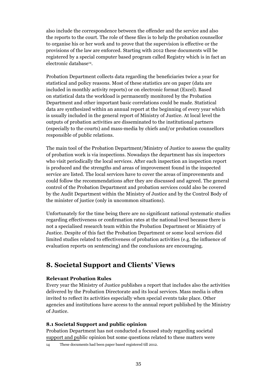also include the correspondence between the offender and the service and also the reports to the court. The role of these files is to help the probation counsellor to organise his or her work and to prove that the supervision is effective or the provisions of the law are enforced. Starting with 2012 these documents will be registered by a special computer based program called Registry which is in fact an electronic database<sup>14</sup>.

Probation Department collects data regarding the beneficiaries twice a year for statistical and policy reasons. Most of these statistics are on paper (data are included in monthly activity reports) or on electronic format (Excel). Based on statistical data the workload is permanently monitored by the Probation Department and other important basic correlations could be made. Statistical data are synthesized within an annual report at the beginning of every year which is usually included in the general report of Ministry of Justice. At local level the outputs of probation activities are disseminated to the institutional partners (especially to the courts) and mass-media by chiefs and/or probation counsellors responsible of public relations.

The main tool of the Probation Department/Ministry of Justice to assess the quality of probation work is via inspections. Nowadays the department has six inspectors who visit periodically the local services. After each inspection an inspection report is produced and the strengths and areas of improvement found in the inspected service are listed. The local services have to cover the areas of improvements and could follow the recommendations after they are discussed and agreed. The general control of the Probation Department and probation services could also be covered by the Audit Department within the Ministry of Justice and by the Control Body of the minister of justice (only in uncommon situations).

Unfortunately for the time being there are no significant national systematic studies regarding effectiveness or confirmation rates at the national level because there is not a specialised research team within the Probation Department or Ministry of Justice. Despite of this fact the Probation Department or some local services did limited studies related to effectiveness of probation activities (e.g. the influence of evaluation reports on sentencing) and the conclusions are encouraging.

## **8. Societal Support and Clients' Views**

#### **Relevant Probation Rules**

Every year the Ministry of Justice publishes a report that includes also the activities delivered by the Probation Directorate and its local services. Mass media is often invited to reflect its activities especially when special events take place. Other agencies and institutions have access to the annual report published by the Ministry of Justice.

#### **8.1 Societal Support and public opinion**

Probation Department has not conducted a focused study regarding societal support and public opinion but some questions related to these matters were

14 These documents had been paper based registered till 2012.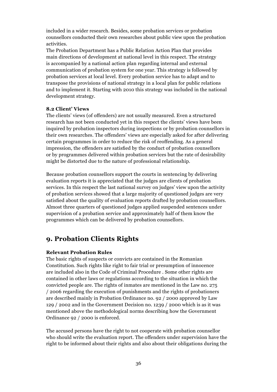included in a wider research. Besides, some probation services or probation counsellors conducted their own researches about public view upon the probation activities.

The Probation Department has a Public Relation Action Plan that provides main directions of development at national level in this respect. The strategy is accompanied by a national action plan regarding internal and external communication of probation system for one year. This strategy is followed by probation services at local level. Every probation service has to adapt and to transpose the provisions of national strategy in a local plan for public relations and to implement it. Starting with 2010 this strategy was included in the national development strategy.

#### **8.2 Client' Views**

The clients' views (of offenders) are not usually measured. Even a structured research has not been conducted yet in this respect the clients' views have been inquired by probation inspectors during inspections or by probation counsellors in their own researches. The offenders' views are especially asked for after delivering certain programmes in order to reduce the risk of reoffending. As a general impression, the offenders are satisfied by the conduct of probation counsellors or by programmes delivered within probation services but the rate of desirability might be distorted due to the nature of professional relationship.

Because probation counsellors support the courts in sentencing by delivering evaluation reports it is appreciated that the judges are clients of probation services. In this respect the last national survey on judges' view upon the activity of probation services showed that a large majority of questioned judges are very satisfied about the quality of evaluation reports drafted by probation counsellors. Almost three quarters of questioned judges applied suspended sentences under supervision of a probation service and approximately half of them know the programmes which can be delivered by probation counsellors.

## **9. Probation Clients Rights**

#### **Relevant Probation Rules**

The basic rights of suspects or convicts are contained in the Romanian Constitution. Such rights like right to fair trial or presumption of innocence are included also in the Code of Criminal Procedure . Some other rights are contained in other laws or regulations according to the situation in which the convicted people are. The rights of inmates are mentioned in the Law no. 275 / 2006 regarding the execution of punishments and the rights of probationers are described mainly in Probation Ordinance no. 92 / 2000 approved by Law 129 / 2002 and in the Government Decision no. 1239 / 2000 which is as it was mentioned above the methodological norms describing how the Government Ordinance 92 / 2000 is enforced.

The accused persons have the right to not cooperate with probation counsellor who should write the evaluation report. The offenders under supervision have the right to be informed about their rights and also about their obligations during the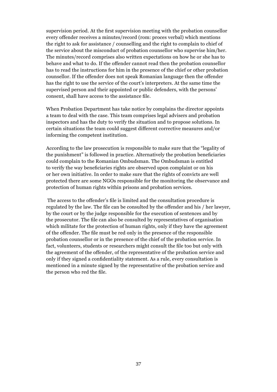supervision period. At the first supervision meeting with the probation counsellor every offender receives a minutes/record (rom: proces verbal) which mentions the right to ask for assistance / counselling and the right to complain to chief of the service about the misconduct of probation counsellor who supervise him/her. The minutes/record comprises also written expectations on how he or she has to behave and what to do. If the offender cannot read then the probation counsellor has to read the instructions for him in the presence of the chief or other probation counsellor. If the offender does not speak Romanian language then the offender has the right to use the service of the court's interpreters. At the same time the supervised person and their appointed or public defenders, with the persons' consent, shall have access to the assistance file.

When Probation Department has take notice by complains the director appoints a team to deal with the case. This team comprises legal advisers and probation inspectors and has the duty to verify the situation and to propose solutions. In certain situations the team could suggest different corrective measures and/or informing the competent institution.

According to the law prosecution is responsible to make sure that the "legality of the punishment" is followed in practice. Alternatively the probation beneficiaries could complain to the Romanian Ombudsman. The Ombudsman is entitled to verify the way beneficiaries rights are observed upon complaint or on his or her own initiative. In order to make sure that the rights of convicts are well protected there are some NGOs responsible for the monitoring the observance and protection of human rights within prisons and probation services.

 The access to the offender's file is limited and the consultation procedure is regulated by the law. The file can be consulted by the offender and his / her lawyer, by the court or by the judge responsible for the execution of sentences and by the prosecutor. The file can also be consulted by representatives of organisation which militate for the protection of human rights, only if they have the agreement of the offender. The file must be red only in the presence of the responsible probation counsellor or in the presence of the chief of the probation service. In fact, volunteers, students or researchers might consult the file too but only with the agreement of the offender, of the representative of the probation service and only if they signed a confidentiality statement. As a rule, every consultation is mentioned in a minute signed by the representative of the probation service and the person who red the file.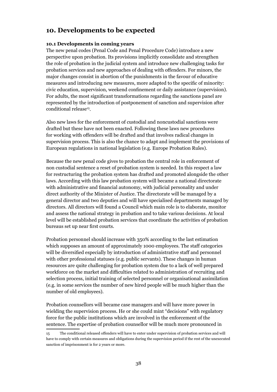## **10. Developments to be expected**

#### **10.1 Developments in coming years**

The new penal codes (Penal Code and Penal Procedure Code) introduce a new perspective upon probation. Its provisions implicitly consolidate and strengthen the role of probation in the judicial system and introduce new challenging tasks for probation services and new approaches of dealing with offenders. For minors, the major changes consist in abortion of the punishments in the favour of educative measures and introducing new measures, more adapted to the specific of minority: civic education, supervision, weekend confinement or daily assistance (supervision). For adults, the most significant transformations regarding the sanctions panel are represented by the introduction of postponement of sanction and supervision after conditional release15.

Also new laws for the enforcement of custodial and noncustodial sanctions were drafted but these have not been enacted. Following these laws new procedures for working with offenders will be drafted and that involves radical changes in supervision process. This is also the chance to adapt and implement the provisions of European regulations in national legislation (e.g. Europe Probation Rules).

Because the new penal code gives to probation the central role in enforcement of non custodial sentence a reset of probation system is needed. In this respect a law for restructuring the probation system has drafted and promoted alongside the other laws. According with this law probation system will became a national directorate with administrative and financial autonomy, with judicial personality and under direct authority of the Minister of Justice. The directorate will be managed by a general director and two deputies and will have specialised departments managed by directors. All directors will found a Council which main role is to elaborate, monitor and assess the national strategy in probation and to take various decisions. At local level will be established probation services that coordinate the activities of probation bureaus set up near first courts.

Probation personnel should increase with 350% according to the last estimation which supposes an amount of approximately 1000 employees. The staff categories will be diversified especially by introduction of administrative staff and personnel with other professional statuses (e.g. public servants). These changes in human resources are quite challenging for probation system due to a lack of well prepared workforce on the market and difficulties related to administration of recruiting and selection process, initial training of selected personnel or organisational assimilation (e.g. in some services the number of new hired people will be much higher than the number of old employees).

Probation counsellors will became case managers and will have more power in wielding the supervision process. He or she could mint "decisions" with regulatory force for the public institutions which are involved in the enforcement of the sentence. The expertise of probation counsellor will be much more pronounced in

<sup>15</sup> The conditional released offenders will have to enter under supervision of probation services and will have to comply with certain measures and obligations during the supervision period if the rest of the unexecuted sanction of imprisonment is for 2 years or more.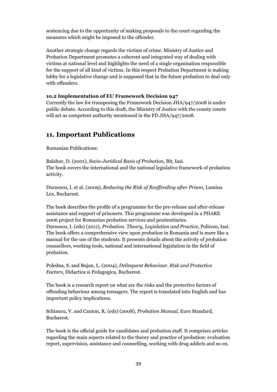sentencing due to the opportunity of making proposals to the court regarding the measures which might be imposed to the offender.

Another strategic change regards the victims of crime. Ministry of Justice and Probation Department promotes a coherent and integrated way of dealing with victims at national level and highlights the need of a single organisation responsible for the support of all kind of victims. In this respect Probation Department is making lobby for a legislative change and is supposed that in the future probation to deal only with offenders.

#### **10.2 Implementation of EU Framework Decision 947**

Currently the law for transposing the Framework Decision JHA/947/2008 is under public debate. According to this draft, the Ministry of Justice with the county courts will act as competent authority mentioned in the FD JHA/947/2008.

## **11. Important Publications**

Romanian Publications:

Balahur, D. (2001), *Socio-Juridical Basis of Probation*, Bit, Iasi. The book covers the international and the national legislative framework of probation activity.

Durnescu, I. et al. (2009), *Reducing the Risk of Reoffending after Prison*, Lumina Lex, Bucharest.

The book describes the profile of a programme for the pre-release and after-release assistance and support of prisoners. This programme was developed in a PHARE 2006 project for Romanian probation services and penitentiaries. Durnescu, I. (eds) (2011), *Probation. Theory, Legislation and Practice*, Polirom, Iasi. The book offers a comprehensive view upon probation in Romania and is more like a manual for the use of the students. It presents details about the activity of probation counsellors, working tools, national and international legislation in the field of probation.

Poledna, S. and Bujan, L. (2004), *Delinquent Behaviour. Risk and Protective Factors*, Didactica si Pedagogica, Bucharest.

The book is a research report on what are the risks and the protective factors of offending behaviour among teenagers. The report is translated into English and has important policy implications.

Schiaucu, V. and Canton, R. (eds) (2008), *Probation Manual*, Euro Standard, Bucharest.

The book is the official guide for candidates and probation staff. It comprises articles regarding the main aspects related to the theory and practice of probation: evaluation report, supervision, assistance and counselling, working with drug addicts and so on.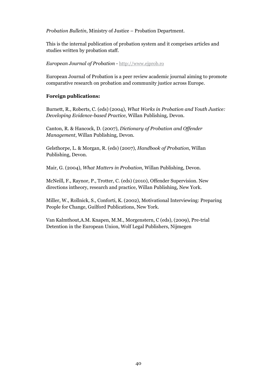*Probation Bulletin*, Ministry of Justice – Probation Department.

This is the internal publication of probation system and it comprises articles and studies written by probation staff.

*European Journal of Probation -* http://www.ejprob.ro

European Journal of Probation is a peer review academic journal aiming to promote comparative research on probation and community justice across Europe.

#### **Foreign publications:**

Burnett, R., Roberts, C. (eds) (2004), *What Works in Probation and Youth Justice: Developing Evidence-based Practice*, Willan Publishing, Devon.

Canton, R. & Hancock, D. (2007), *Dictionary of Probation and Offender Management*, Willan Publishing, Devon.

Gelsthorpe, L. & Morgan, R. (eds) (2007), *Handbook of Probation*, Willan Publishing, Devon.

Mair, G. (2004), *What Matters in Probation*, Willan Publishing, Devon.

McNeill, F., Raynor, P., Trotter, C. (eds) (2010), Offender Supervision. New directions intheory, research and practice, Willan Publishing, New York.

Miller, W., Rollnick, S., Conforti, K. (2002), Motivational Interviewing: Preparing People for Change, Guilford Publications, New York.

Van Kalmthout,A.M. Knapen, M.M., Morgenstern, C (eds), (2009), Pre-trial Detention in the European Union, Wolf Legal Publishers, Nijmegen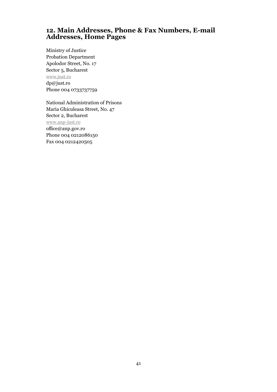## **12. Main Addresses, Phone & Fax Numbers, E-mail Addresses, Home Pages**

Ministry of Justice Probation Department Apolodor Street, No. 17 Sector 5, Bucharest www.just.ro dp@just.ro Phone 004 0733737759

National Administration of Prisons Maria Ghiculeasa Street, No. 47 Sector 2, Bucharest www.anp-just.ro office@anp.gov.ro Phone 004 0212086150 Fax 004 0212420505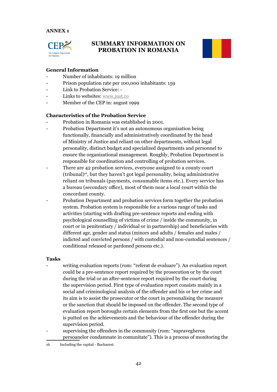#### **ANNEX 1**



## **SUMMARY INFORMATION ON PROBATION IN ROMANIA**



#### **General Information**

- Number of inhabitants: 19 million
- Prison population rate per 100,000 inhabitants: 159
- Link to Probation Service: -
- Links to websites: www.just.ro
- Member of the CEP in: august 1999

#### **Characteristics of the Probation Service**

- Probation in Romania was established in 2001.
- Probation Department it's not an autonomous organization being functionally, financially and administratively coordinated by the head of Ministry of Justice and reliant on other departments, without legal personality, distinct budget and specialized departments and personnel to ensure the organizational management. Roughly, Probation Department is responsible for coordination and controlling of probation services.
- There are 42 probation services, everyone assigned to a county court (tribunal)16, but they haven't got legal personality, being administrative reliant on tribunals (payments, consumable items etc.). Every service has a bureau (secondary office), most of them near a local court within the concordant county.
- Probation Department and probation services form together the probation system. Probation system is responsible for a various range of tasks and activities (starting with drafting pre-sentence reports and ending with psychological counselling of victims of crime / inside the community, in court or in penitentiary / individual or in partnership) and beneficiaries with different age, gender and status (minors and adults / females and males / indicted and convicted persons / with custodial and non-custodial sentences / conditional released or pardoned persons etc.).

#### **Tasks**

- writing evaluation reports (rom: "referat de evaluare"). An evaluation report could be a pre-sentence report required by the prosecution or by the court during the trial or an after-sentence report required by the court during the supervision period. First type of evaluation report consists mainly in a social and criminological analysis of the offender and his or her crime and its aim is to assist the prosecutor or the court in personalising the measure or the sanction that should be imposed on the offender. The second type of evaluation report boroughs certain elements from the first one but the accent is putted on the achievements and the behaviour of the offender during the supervision period.
- supervising the offenders in the community (rom: "supravegherea persoanelor condamnate in comunitate"). This is a process of monitoring the

<sup>16</sup> Including the capital - Bucharest.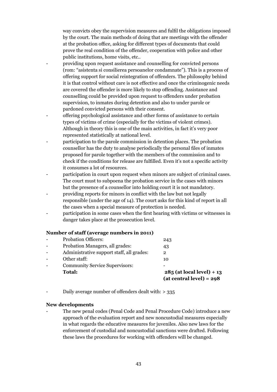way convicts obey the supervision measures and fulfil the obligations imposed by the court. The main methods of doing that are meetings with the offender at the probation office, asking for different types of documents that could prove the real condition of the offender, cooperation with police and other public institutions, home visits, etc..

- providing upon request assistance and counselling for convicted persons (rom: "asistenta si consilierea persoanelor condamnate"). This is a process of offering support for social reintegration of offenders. The philosophy behind it is that control without care is not effective and once the criminogenic needs are covered the offender is more likely to stop offending. Assistance and counselling could be provided upon request to offenders under probation supervision, to inmates during detention and also to under parole or pardoned convicted persons with their consent.
- offering psychological assistance and other forms of assistance to certain types of victims of crime (especially for the victims of violent crimes). Although in theory this is one of the main activities, in fact it's very poor represented statistically at national level.
- participation to the parole commission in detention places. The probation counsellor has the duty to analyse periodically the personal files of inmates proposed for parole together with the members of the commission and to check if the conditions for release are fulfilled. Even it's not a specific activity it consumes a lot of resources.
- participation in court upon request when minors are subject of criminal cases. The court must to subpoena the probation service in the cases with minors but the presence of a counsellor into holding court it is not mandatory.
- providing reports for minors in conflict with the law but not legally responsible (under the age of 14). The court asks for this kind of report in all the cases when a special measure of protection is needed.
- participation in some cases when the first hearing with victims or witnesses in danger takes place at the prosecution level.

#### **Number of staff (average numbers in 2011)**

| <b>Total:</b>                             | $285$ (at local level) + 13<br>$(at central level) = 298$ |
|-------------------------------------------|-----------------------------------------------------------|
| <b>Community Service Supervisors:</b>     |                                                           |
| Other staff:                              | 10                                                        |
| Administrative support staff, all grades: | 2                                                         |
| Probation Managers, all grades:           | 43                                                        |
| <b>Probation Officers:</b>                | 243                                                       |

Daily average number of offenders dealt with:  $> 335$ 

#### **New developments**

The new penal codes (Penal Code and Penal Procedure Code) introduce a new approach of the evaluation report and new noncustodial measures especially in what regards the educative measures for juveniles. Also new laws for the enforcement of custodial and noncustodial sanctions were drafted. Following these laws the procedures for working with offenders will be changed.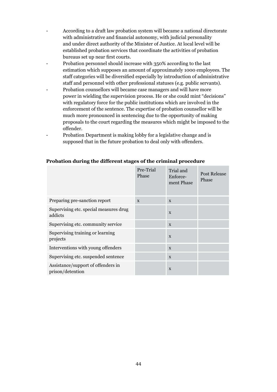- According to a draft law probation system will became a national directorate with administrative and financial autonomy, with judicial personality and under direct authority of the Minister of Justice. At local level will be established probation services that coordinate the activities of probation bureaus set up near first courts.
- Probation personnel should increase with 350% according to the last estimation which supposes an amount of approximately 1000 employees. The staff categories will be diversified especially by introduction of administrative staff and personnel with other professional statuses (e.g. public servants).
- Probation counsellors will became case managers and will have more power in wielding the supervision process. He or she could mint "decisions" with regulatory force for the public institutions which are involved in the enforcement of the sentence. The expertise of probation counsellor will be much more pronounced in sentencing due to the opportunity of making proposals to the court regarding the measures which might be imposed to the offender.
- Probation Department is making lobby for a legislative change and is supposed that in the future probation to deal only with offenders.

|                                                        | Pre-Trial<br>Phase | Trial and<br>Enforce-<br>ment Phase | Post Release<br>Phase |
|--------------------------------------------------------|--------------------|-------------------------------------|-----------------------|
| Preparing pre-sanction report                          | $\mathbf{x}$       | $\mathbf{x}$                        |                       |
| Supervising etc. special measures drug<br>addicts      |                    | $\mathbf{x}$                        |                       |
| Supervising etc. community service                     |                    | $\mathbf{x}$                        |                       |
| Supervising training or learning<br>projects           |                    | $\mathbf{x}$                        |                       |
| Interventions with young offenders                     |                    | $\mathbf{x}$                        |                       |
| Supervising etc. suspended sentence                    |                    | $\mathbf{x}$                        |                       |
| Assistance/support of offenders in<br>prison/detention |                    | $\mathbf{x}$                        |                       |

#### **Probation during the different stages of the criminal procedure**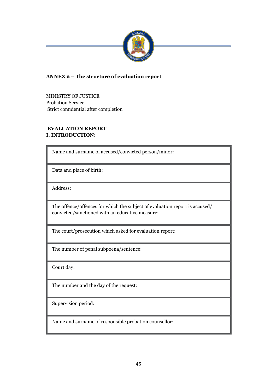

### **ANNEX 2 – The structure of evaluation report**

MINISTRY OF JUSTICE Probation Service … Strict confidential after completion

#### **EVALUATION REPORT I. INTRODUCTION:**

Name and surname of accused/convicted person/minor:

Data and place of birth:

Address:

The offence/offences for which the subject of evaluation report is accused/ convicted/sanctioned with an educative measure:

The court/prosecution which asked for evaluation report:

The number of penal subpoena/sentence:

Court day:

The number and the day of the request:

Supervision period:

Name and surname of responsible probation counsellor: